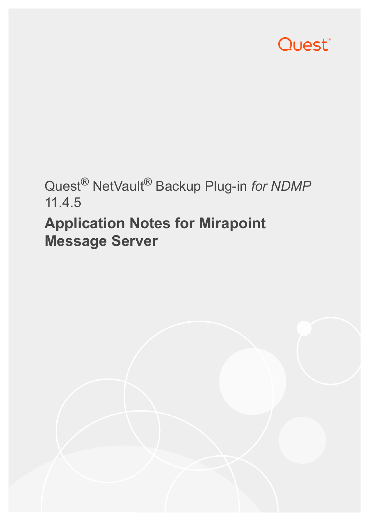

# Quest® NetVault® Backup Plug-in *for NDMP* 11.4.5

## **Application Notes for Mirapoint Message Server**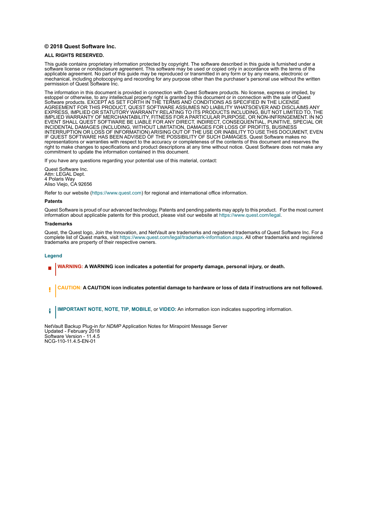#### **© 2018 Quest Software Inc.**

#### **ALL RIGHTS RESERVED.**

This guide contains proprietary information protected by copyright. The software described in this guide is furnished under a software license or nondisclosure agreement. This software may be used or copied only in accordance with the terms of the applicable agreement. No part of this guide may be reproduced or transmitted in any form or by any means, electronic or mechanical, including photocopying and recording for any purpose other than the purchaser's personal use without the written permission of Quest Software Inc.

The information in this document is provided in connection with Quest Software products. No license, express or implied, by estoppel or otherwise, to any intellectual property right is granted by this document or in connection with the sale of Quest<br>Software products. EXCEPT AS SET FORTH IN THE TERMS AND CONDITIONS AS SPECIFIED IN THE LICENSE<br>A EXPRESS, IMPLIED OR STATUTORY WARRANTY RELATING TO ITS PRODUCTS INCLUDING, BUT NOT LIMITED TO, THE IMPLIED WARRANTY OF MERCHANTABILITY, FITNESS FOR A PARTICULAR PURPOSE, OR NON-INFRINGEMENT. IN NO EVENT SHALL QUEST SOFTWARE BE LIABLE FOR ANY DIRECT, INDIRECT, CONSEQUENTIAL, PUNITIVE, SPECIAL OR INCIDENTAL DAMAGES (INCLUDING, WITHOUT LIMITATION, DAMAGES FOR LOSS OF PROFITS, BUSINESS<br>INTERRUPTION OR LOSS OF INFORMATION) ARISING OUT OF THE USE OR INABILITY TO USE THIS DOCUMENT, EVEN IF QUEST SOFTWARE HAS BEEN ADVISED OF THE POSSIBILITY OF SUCH DAMAGES. Quest Software makes no representations or warranties with respect to the accuracy or completeness of the contents of this document and reserves the right to make changes to specifications and product descriptions at any time without notice. Quest Software does not make any commitment to update the information contained in this document.

If you have any questions regarding your potential use of this material, contact:

Quest Software Inc. Attn: LEGAL Dept. 4 Polaris Way Aliso Viejo, CA 92656

Refer to our website [\(https://www.quest.com](https://www.quest.com)) for regional and international office information.

#### **Patents**

Quest Software is proud of our advanced technology. Patents and pending patents may apply to this product. For the most current information about applicable patents for this product, please visit our website at [https://www.quest.com/legal.](https://www.quest.com/legal)

#### **Trademarks**

Quest, the Quest logo, Join the Innovation, and NetVault are trademarks and registered trademarks of Quest Software Inc. For a complete list of Quest marks, visit [https://www.quest.com/legal/trademark-information.aspx.](https://www.quest.com/legal/trademark-information.aspx) All other trademarks and registered trademarks are property of their respective owners.

#### **Legend**

- **WARNING: A WARNING icon indicates a potential for property damage, personal injury, or death.**
- **CAUTION: A CAUTION icon indicates potential damage to hardware or loss of data if instructions are not followed.** Ţ
- **IMPORTANT NOTE**, **NOTE**, **TIP**, **MOBILE**, or **VIDEO:** An information icon indicates supporting information.f.

NetVault Backup Plug-in *for NDMP* Application Notes for Mirapoint Message Server Updated - February 2018 Software Version - 11.4.5 NCG-110-11.4.5-EN-01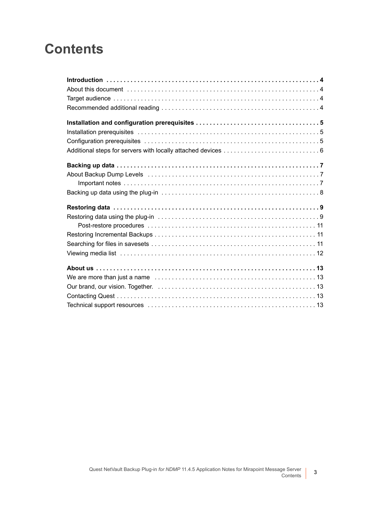### **Contents**

| About Backup Dump Levels (and according to the contract of the contract of the contract of the contract of the |
|----------------------------------------------------------------------------------------------------------------|
|                                                                                                                |
|                                                                                                                |
|                                                                                                                |
|                                                                                                                |
|                                                                                                                |
|                                                                                                                |
|                                                                                                                |
|                                                                                                                |
|                                                                                                                |
|                                                                                                                |
|                                                                                                                |
|                                                                                                                |
|                                                                                                                |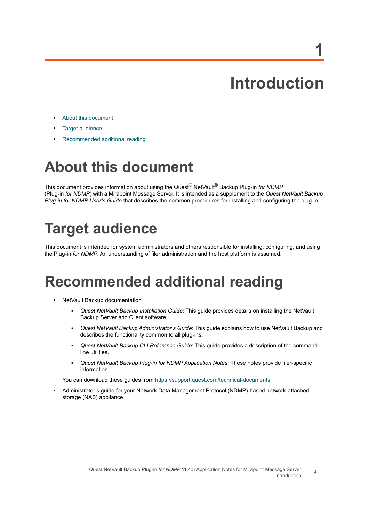# **Introduction**

**1**

- <span id="page-3-0"></span>**•** [About this document](#page-3-1)
- **•** [Target audience](#page-3-2)
- **•** [Recommended additional reading](#page-3-3)

## <span id="page-3-1"></span>**About this document**

This document provides information about using the Quest® NetVault® Backup Plug-in *for NDMP* (Plug-in *for NDMP*) with a Mirapoint Message Server. It is intended as a supplement to the *Quest NetVault Backup Plug-in for NDMP User's Guide* that describes the common procedures for installing and configuring the plug-in.

## <span id="page-3-2"></span>**Target audience**

This document is intended for system administrators and others responsible for installing, configuring, and using the Plug-in *for NDMP*. An understanding of filer administration and the host platform is assumed.

### <span id="page-3-3"></span>**Recommended additional reading**

- **•** NetVault Backup documentation
	- **▪** *Quest NetVault Backup Installation Guide*: This guide provides details on installing the NetVault Backup Server and Client software.
	- **▪** *Quest NetVault Backup Administrator's Guide*: This guide explains how to use NetVault Backup and describes the functionality common to all plug-ins.
	- **▪** *Quest NetVault Backup CLI Reference Guide*: This guide provides a description of the commandline utilities.
	- **▪** *Quest NetVault Backup Plug-in for NDMP Application Notes:* These notes provide filer-specific information.

You can download these guides from<https://support.quest.com/technical-documents>.

**•** Administrator's guide for your Network Data Management Protocol (NDMP)-based network-attached storage (NAS) appliance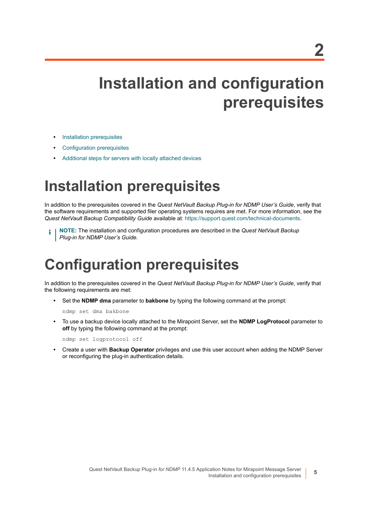# <span id="page-4-0"></span>**Installation and configuration prerequisites**

- **•** [Installation prerequisites](#page-4-1)
- **•** [Configuration prerequisites](#page-4-2)
- **•** [Additional steps for servers with locally attached devices](#page-5-0)

### <span id="page-4-1"></span>**Installation prerequisites**

In addition to the prerequisites covered in the *Quest NetVault Backup Plug-in for NDMP User's Guide*, verify that the software requirements and supported filer operating systems requires are met. For more information, see the *Quest NetVault Backup Compatibility Guide* available at:<https://support.quest.com/technical-documents>.

**NOTE:** The installation and configuration procedures are described in the *Quest NetVault Backup Plug-in for NDMP User's Guide.*

### <span id="page-4-2"></span>**Configuration prerequisites**

In addition to the prerequisites covered in the *Quest NetVault Backup Plug-in for NDMP User's Guide*, verify that the following requirements are met:

**•** Set the **NDMP dma** parameter to **bakbone** by typing the following command at the prompt:

ndmp set dma bakbone

**•** To use a backup device locally attached to the Mirapoint Server, set the **NDMP LogProtocol** parameter to **off** by typing the following command at the prompt:

ndmp set logprotocol off

**•** Create a user with **Backup Operator** privileges and use this user account when adding the NDMP Server or reconfiguring the plug-in authentication details.

**5**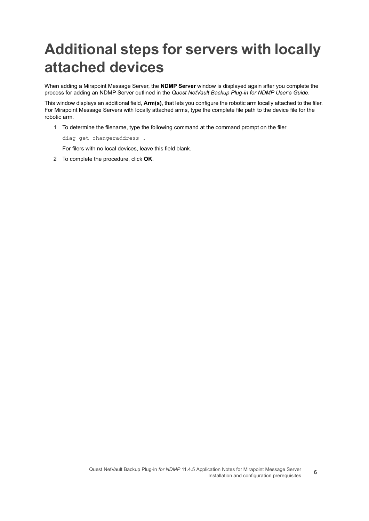## <span id="page-5-0"></span>**Additional steps for servers with locally attached devices**

When adding a Mirapoint Message Server, the **NDMP Server** window is displayed again after you complete the process for adding an NDMP Server outlined in the *Quest NetVault Backup Plug-in for NDMP User's Guide*.

This window displays an additional field, **Arm(s)**, that lets you configure the robotic arm locally attached to the filer. For Mirapoint Message Servers with locally attached arms, type the complete file path to the device file for the robotic arm.

1 To determine the filename, type the following command at the command prompt on the filer

diag get changeraddress .

For filers with no local devices, leave this field blank.

2 To complete the procedure, click **OK**.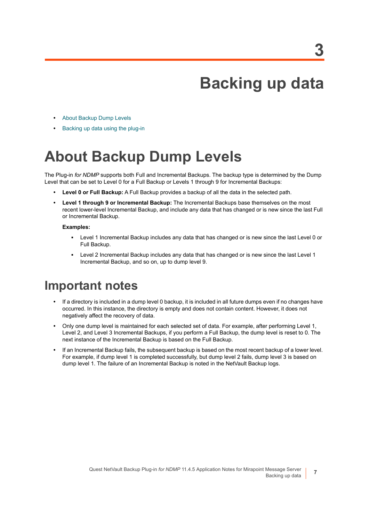## **Backing up data**

- <span id="page-6-0"></span>**•** [About Backup Dump Levels](#page-6-1)
- **•** [Backing up data using the plug-in](#page-7-0)

## <span id="page-6-1"></span>**About Backup Dump Levels**

The Plug-in *for NDMP* supports both Full and Incremental Backups. The backup type is determined by the Dump Level that can be set to Level 0 for a Full Backup or Levels 1 through 9 for Incremental Backups:

- **Level 0 or Full Backup:** A Full Backup provides a backup of all the data in the selected path.
- **Level 1 through 9 or Incremental Backup:** The Incremental Backups base themselves on the most recent lower-level Incremental Backup, and include any data that has changed or is new since the last Full or Incremental Backup.

#### **Examples:**

- **▪** Level 1 Incremental Backup includes any data that has changed or is new since the last Level 0 or Full Backup.
- **▪** Level 2 Incremental Backup includes any data that has changed or is new since the last Level 1 Incremental Backup, and so on, up to dump level 9.

### <span id="page-6-2"></span>**Important notes**

- **•** If a directory is included in a dump level 0 backup, it is included in all future dumps even if no changes have occurred. In this instance, the directory is empty and does not contain content. However, it does not negatively affect the recovery of data.
- **•** Only one dump level is maintained for each selected set of data. For example, after performing Level 1, Level 2, and Level 3 Incremental Backups, if you perform a Full Backup, the dump level is reset to 0. The next instance of the Incremental Backup is based on the Full Backup.
- **•** If an Incremental Backup fails, the subsequent backup is based on the most recent backup of a lower level. For example, if dump level 1 is completed successfully, but dump level 2 fails, dump level 3 is based on dump level 1. The failure of an Incremental Backup is noted in the NetVault Backup logs.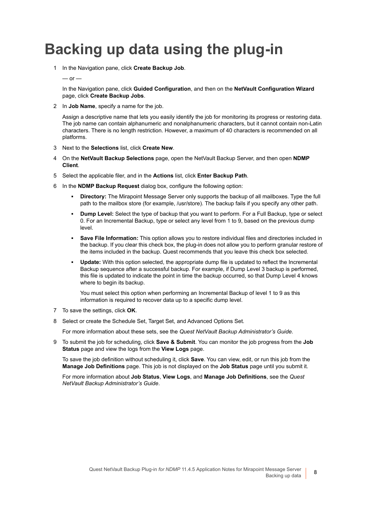### <span id="page-7-0"></span>**Backing up data using the plug-in**

1 In the Navigation pane, click **Create Backup Job**.

#### $-$  or  $-$

In the Navigation pane, click **Guided Configuration**, and then on the **NetVault Configuration Wizard** page, click **Create Backup Jobs**.

2 In **Job Name**, specify a name for the job.

Assign a descriptive name that lets you easily identify the job for monitoring its progress or restoring data. The job name can contain alphanumeric and nonalphanumeric characters, but it cannot contain non-Latin characters. There is no length restriction. However, a maximum of 40 characters is recommended on all platforms.

- 3 Next to the **Selections** list, click **Create New**.
- 4 On the **NetVault Backup Selections** page, open the NetVault Backup Server, and then open **NDMP Client**.
- 5 Select the applicable filer, and in the **Actions** list, click **Enter Backup Path**.
- 6 In the **NDMP Backup Request** dialog box, configure the following option:
	- **Directory:** The Mirapoint Message Server only supports the backup of all mailboxes. Type the full path to the mailbox store (for example, /usr/store). The backup fails if you specify any other path.
	- **Dump Level:** Select the type of backup that you want to perform. For a Full Backup, type or select 0. For an Incremental Backup, type or select any level from 1 to 9, based on the previous dump level.
	- **Save File Information:** This option allows you to restore individual files and directories included in the backup. If you clear this check box, the plug-in does not allow you to perform granular restore of the items included in the backup. Quest recommends that you leave this check box selected.
	- **Update:** With this option selected, the appropriate dump file is updated to reflect the Incremental Backup sequence after a successful backup. For example, if Dump Level 3 backup is performed, this file is updated to indicate the point in time the backup occurred, so that Dump Level 4 knows where to begin its backup.

You must select this option when performing an Incremental Backup of level 1 to 9 as this information is required to recover data up to a specific dump level.

- 7 To save the settings, click **OK**.
- 8 Select or create the Schedule Set, Target Set, and Advanced Options Set.

For more information about these sets, see the *Quest NetVault Backup Administrator's Guide.*

9 To submit the job for scheduling, click **Save & Submit**. You can monitor the job progress from the **Job Status** page and view the logs from the **View Logs** page.

To save the job definition without scheduling it, click **Save**. You can view, edit, or run this job from the **Manage Job Definitions** page. This job is not displayed on the **Job Status** page until you submit it.

For more information about **Job Status**, **View Logs**, and **Manage Job Definitions**, see the *Quest NetVault Backup Administrator's Guide*.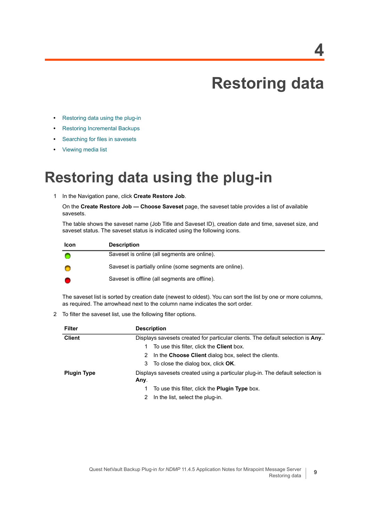# **Restoring data**

- <span id="page-8-0"></span>**•** [Restoring data using the plug-in](#page-8-1)
- **•** [Restoring Incremental Backups](#page-10-1)
- **•** [Searching for files in savesets](#page-10-2)
- **•** [Viewing media list](#page-11-0)

### <span id="page-8-1"></span>**Restoring data using the plug-in**

1 In the Navigation pane, click **Create Restore Job**.

On the **Create Restore Job — Choose Saveset** page, the saveset table provides a list of available savesets.

The table shows the saveset name (Job Title and Saveset ID), creation date and time, saveset size, and saveset status. The saveset status is indicated using the following icons.

| <b>Icon</b> | <b>Description</b>                                      |
|-------------|---------------------------------------------------------|
|             | Saveset is online (all segments are online).            |
|             | Saveset is partially online (some segments are online). |
|             | Saveset is offline (all segments are offline).          |

The saveset list is sorted by creation date (newest to oldest). You can sort the list by one or more columns, as required. The arrowhead next to the column name indicates the sort order.

2 To filter the saveset list, use the following filter options.

| Filter             | <b>Description</b>                                                                     |
|--------------------|----------------------------------------------------------------------------------------|
| <b>Client</b>      | Displays savesets created for particular clients. The default selection is Any.        |
|                    | To use this filter, click the <b>Client</b> box.<br>1                                  |
|                    | 2 In the Choose Client dialog box, select the clients.                                 |
|                    | 3 To close the dialog box, click OK.                                                   |
| <b>Plugin Type</b> | Displays savesets created using a particular plug-in. The default selection is<br>Any. |
|                    | To use this filter, click the <b>Plugin Type</b> box.<br>1.                            |
|                    | In the list, select the plug-in.                                                       |

**9**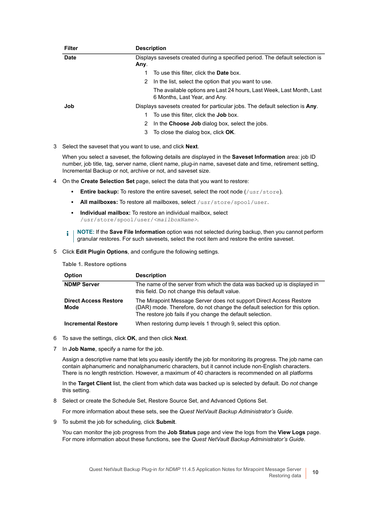| <b>Filter</b> | <b>Description</b>                                                                                    |
|---------------|-------------------------------------------------------------------------------------------------------|
| Date          | Displays savesets created during a specified period. The default selection is                         |
|               | Any.                                                                                                  |
|               | To use this filter, click the <b>Date</b> box.                                                        |
|               | In the list, select the option that you want to use.<br>2                                             |
|               | The available options are Last 24 hours, Last Week, Last Month, Last<br>6 Months, Last Year, and Any. |
| Job           | Displays savesets created for particular jobs. The default selection is Any.                          |
|               | To use this filter, click the <b>Job</b> box.                                                         |
|               | In the Choose Job dialog box, select the jobs.<br>2                                                   |
|               | To close the dialog box, click OK.<br>3                                                               |

3 Select the saveset that you want to use, and click **Next**.

When you select a saveset, the following details are displayed in the **Saveset Information** area: job ID number, job title, tag, server name, client name, plug-in name, saveset date and time, retirement setting, Incremental Backup or not, archive or not, and saveset size.

- 4 On the **Create Selection Set** page, select the data that you want to restore:
	- **Entire backup:** To restore the entire saveset, select the root node (/usr/store).
	- All mailboxes: To restore all mailboxes, select /usr/store/spool/user.
	- **▪ Individual mailbox:** To restore an individual mailbox, select /usr/store/spool/user/*<mailboxName>*.
	- **i** | NOTE: If the **Save File Information** option was not selected during backup, then you cannot perform granular restores. For such savesets, select the root item and restore the entire saveset.
- <span id="page-9-0"></span>5 Click **Edit Plugin Options**, and configure the following settings.

#### **Table 1. Restore options**

| <b>Option</b>                        | <b>Description</b>                                                                                                                                                                                               |
|--------------------------------------|------------------------------------------------------------------------------------------------------------------------------------------------------------------------------------------------------------------|
| <b>NDMP Server</b>                   | The name of the server from which the data was backed up is displayed in<br>this field. Do not change this default value.                                                                                        |
| <b>Direct Access Restore</b><br>Mode | The Mirapoint Message Server does not support Direct Access Restore<br>(DAR) mode. Therefore, do not change the default selection for this option.<br>The restore job fails if you change the default selection. |
| <b>Incremental Restore</b>           | When restoring dump levels 1 through 9, select this option.                                                                                                                                                      |

- 6 To save the settings, click **OK**, and then click **Next**.
- 7 In **Job Name**, specify a name for the job.

Assign a descriptive name that lets you easily identify the job for monitoring its progress. The job name can contain alphanumeric and nonalphanumeric characters, but it cannot include non-English characters. There is no length restriction. However, a maximum of 40 characters is recommended on all platforms

In the **Target Client** list, the client from which data was backed up is selected by default. Do *not* change this setting.

8 Select or create the Schedule Set, Restore Source Set, and Advanced Options Set.

For more information about these sets, see the *Quest NetVault Backup Administrator's Guide*.

<span id="page-9-1"></span>9 To submit the job for scheduling, click **Submit**.

You can monitor the job progress from the **Job Status** page and view the logs from the **View Logs** page. For more information about these functions, see the *Quest NetVault Backup Administrator's Guide*.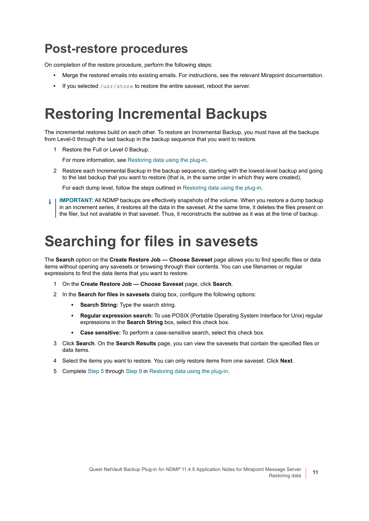### <span id="page-10-0"></span>**Post-restore procedures**

On completion of the restore procedure, perform the following steps:

- **•** Merge the restored emails into existing emails. For instructions, see the relevant Mirapoint documentation.
- **•** If you selected /usr/store to restore the entire saveset, reboot the server.

### <span id="page-10-1"></span>**Restoring Incremental Backups**

The incremental restores build on each other. To restore an Incremental Backup, you must have all the backups from Level-0 through the last backup in the backup sequence that you want to restore.

1 Restore the Full or Level 0 Backup.

For more information, see [Restoring data using the plug-in](#page-8-1).

2 Restore each Incremental Backup in the backup sequence, starting with the lowest-level backup and going to the last backup that you want to restore (that is, in the same order in which they were created).

For each dump level, follow the steps outlined in [Restoring data using the plug-in.](#page-8-1)

**IMPORTANT:** All NDMP backups are effectively snapshots of the volume. When you restore a dump backup in an increment series, it restores all the data in the saveset. At the same time, it deletes the files present on the filer, but not available in that saveset. Thus, it reconstructs the subtree as it was at the time of backup.

### <span id="page-10-2"></span>**Searching for files in savesets**

The **Search** option on the **Create Restore Job — Choose Saveset** page allows you to find specific files or data items without opening any savesets or browsing through their contents. You can use filenames or regular expressions to find the data items that you want to restore.

- 1 On the **Create Restore Job Choose Saveset** page, click **Search**.
- 2 In the **Search for files in savesets** dialog box, configure the following options:
	- **▪ Search String:** Type the search string.
	- **▪ Regular expression search:** To use POSIX (Portable Operating System Interface for Unix) regular expressions in the **Search String** box, select this check box.
	- **Case sensitive:** To perform a case-sensitive search, select this check box.
- 3 Click **Search**. On the **Search Results** page, you can view the savesets that contain the specified files or data items.
- 4 Select the items you want to restore. You can only restore items from one saveset. Click **Next**.
- 5 Complete [Step 5](#page-9-0) through [Step 9](#page-9-1) in [Restoring data using the plug-in](#page-8-1).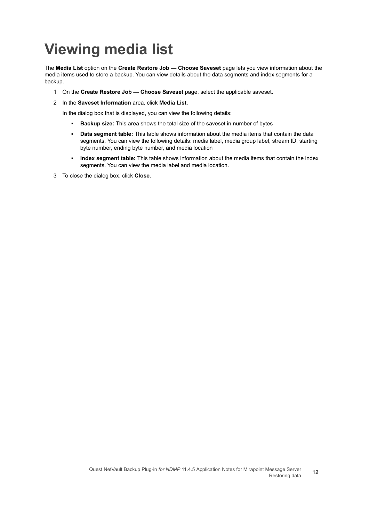# <span id="page-11-0"></span>**Viewing media list**

The **Media List** option on the **Create Restore Job — Choose Saveset** page lets you view information about the media items used to store a backup. You can view details about the data segments and index segments for a backup.

- 1 On the **Create Restore Job Choose Saveset** page, select the applicable saveset.
- 2 In the **Saveset Information** area, click **Media List**.

In the dialog box that is displayed, you can view the following details:

- **▪ Backup size:** This area shows the total size of the saveset in number of bytes
- **Data segment table:** This table shows information about the media items that contain the data segments. You can view the following details: media label, media group label, stream ID, starting byte number, ending byte number, and media location
- **▪ Index segment table:** This table shows information about the media items that contain the index segments. You can view the media label and media location.
- 3 To close the dialog box, click **Close**.